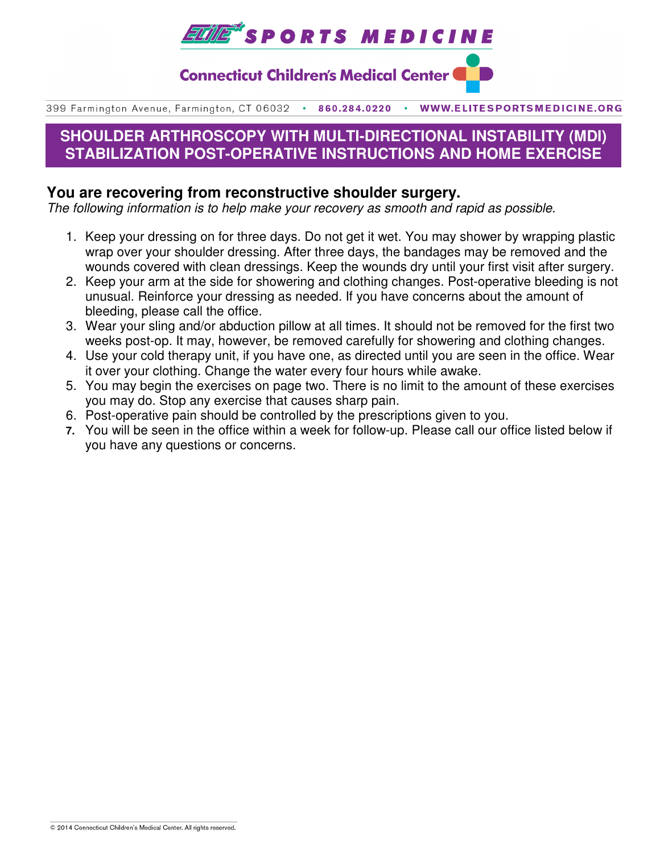

**Connecticut Children's Medical Center (** 

399 Farmington Avenue, Farmington, CT 06032 . 860.284.0220 . WWW.ELITESPORTSMEDICINE.ORG

# **SHOULDER ARTHROSCOPY WITH MULTI-DIRECTIONAL INSTABILITY (MDI) STABILIZATION POST-OPERATIVE INSTRUCTIONS AND HOME EXERCISE**

## **You are recovering from reconstructive shoulder surgery.**

The following information is to help make your recovery as smooth and rapid as possible.

- 1. Keep your dressing on for three days. Do not get it wet. You may shower by wrapping plastic wrap over your shoulder dressing. After three days, the bandages may be removed and the wounds covered with clean dressings. Keep the wounds dry until your first visit after surgery.
- 2. Keep your arm at the side for showering and clothing changes. Post-operative bleeding is not unusual. Reinforce your dressing as needed. If you have concerns about the amount of bleeding, please call the office.
- 3. Wear your sling and/or abduction pillow at all times. It should not be removed for the first two weeks post-op. It may, however, be removed carefully for showering and clothing changes.
- 4. Use your cold therapy unit, if you have one, as directed until you are seen in the office. Wear it over your clothing. Change the water every four hours while awake.
- 5. You may begin the exercises on page two. There is no limit to the amount of these exercises you may do. Stop any exercise that causes sharp pain.
- 6. Post-operative pain should be controlled by the prescriptions given to you.
- **7.** You will be seen in the office within a week for follow-up. Please call our office listed below if you have any questions or concerns.